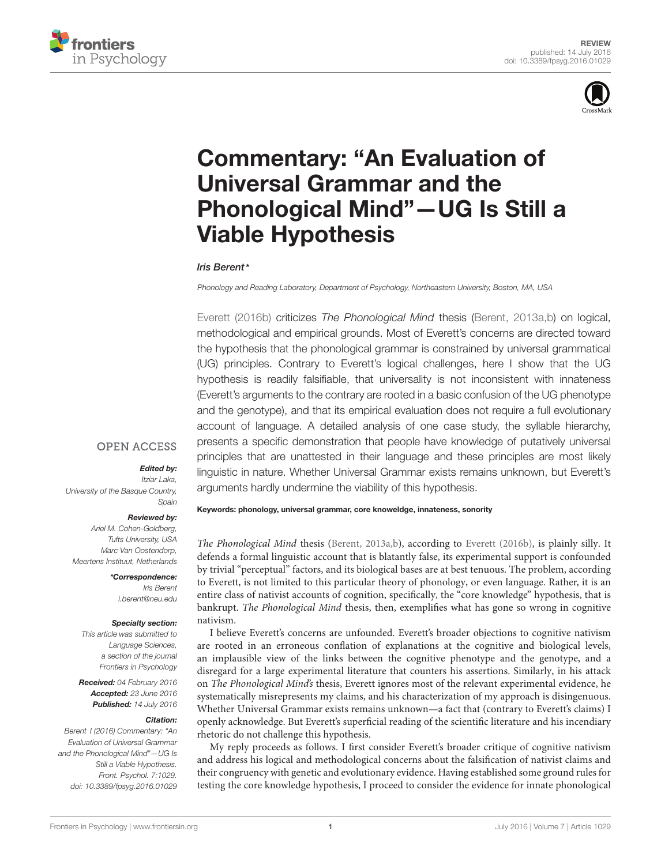



# Commentary: "An Evaluation of Universal Grammar and the [Phonological Mind"—UG Is Still a](http://journal.frontiersin.org/article/10.3389/fpsyg.2016.01029/abstract) Viable Hypothesis

### [Iris Berent](http://loop.frontiersin.org/people/30518/overview)\*

Phonology and Reading Laboratory, Department of Psychology, Northeastern University, Boston, MA, USA

[Everett](#page-11-0) [\(2016b\)](#page-11-0) criticizes The Phonological Mind thesis [\(Berent, 2013a](#page-10-0)[,b\)](#page-10-1) on logical, methodological and empirical grounds. Most of Everett's concerns are directed toward the hypothesis that the phonological grammar is constrained by universal grammatical (UG) principles. Contrary to Everett's logical challenges, here I show that the UG hypothesis is readily falsifiable, that universality is not inconsistent with innateness (Everett's arguments to the contrary are rooted in a basic confusion of the UG phenotype and the genotype), and that its empirical evaluation does not require a full evolutionary account of language. A detailed analysis of one case study, the syllable hierarchy, presents a specific demonstration that people have knowledge of putatively universal principles that are unattested in their language and these principles are most likely linguistic in nature. Whether Universal Grammar exists remains unknown, but Everett's arguments hardly undermine the viability of this hypothesis.

### **OPEN ACCESS**

### Edited by:

Itziar Laka, University of the Basque Country, Spain

#### Reviewed by:

Ariel M. Cohen-Goldberg, Tufts University, USA Marc Van Oostendorp, Meertens Instituut, Netherlands

> \*Correspondence: Iris Berent i.berent@neu.edu

### Specialty section:

This article was submitted to Language Sciences, a section of the journal Frontiers in Psychology

Received: 04 February 2016 Accepted: 23 June 2016 Published: 14 July 2016

#### Citation:

Berent I (2016) Commentary: "An Evaluation of Universal Grammar and the Phonological Mind"—UG Is Still a Viable Hypothesis. Front. Psychol. 7:1029. doi: [10.3389/fpsyg.2016.01029](http://dx.doi.org/10.3389/fpsyg.2016.01029)

#### Keywords: phonology, universal grammar, core knoweldge, innateness, sonority

The Phonological Mind thesis [\(Berent, 2013a,](#page-10-0)[b\)](#page-10-1), according to [Everett](#page-11-0) [\(2016b\)](#page-11-0), is plainly silly. It defends a formal linguistic account that is blatantly false, its experimental support is confounded by trivial "perceptual" factors, and its biological bases are at best tenuous. The problem, according to Everett, is not limited to this particular theory of phonology, or even language. Rather, it is an entire class of nativist accounts of cognition, specifically, the "core knowledge" hypothesis, that is bankrupt. The Phonological Mind thesis, then, exemplifies what has gone so wrong in cognitive nativism.

I believe Everett's concerns are unfounded. Everett's broader objections to cognitive nativism are rooted in an erroneous conflation of explanations at the cognitive and biological levels, an implausible view of the links between the cognitive phenotype and the genotype, and a disregard for a large experimental literature that counters his assertions. Similarly, in his attack on The Phonological Mind's thesis, Everett ignores most of the relevant experimental evidence, he systematically misrepresents my claims, and his characterization of my approach is disingenuous. Whether Universal Grammar exists remains unknown—a fact that (contrary to Everett's claims) I openly acknowledge. But Everett's superficial reading of the scientific literature and his incendiary rhetoric do not challenge this hypothesis.

My reply proceeds as follows. I first consider Everett's broader critique of cognitive nativism and address his logical and methodological concerns about the falsification of nativist claims and their congruency with genetic and evolutionary evidence. Having established some ground rules for testing the core knowledge hypothesis, I proceed to consider the evidence for innate phonological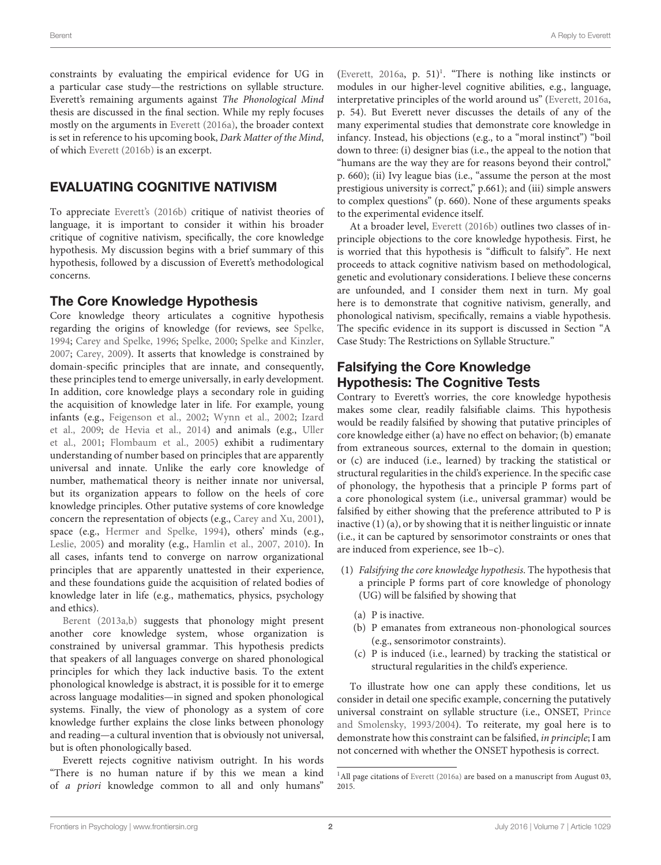constraints by evaluating the empirical evidence for UG in a particular case study—the restrictions on syllable structure. Everett's remaining arguments against The Phonological Mind thesis are discussed in the final section. While my reply focuses mostly on the arguments in [Everett](#page-11-1) [\(2016a\)](#page-11-1), the broader context is set in reference to his upcoming book, Dark Matter of the Mind, of which [Everett](#page-11-0) [\(2016b\)](#page-11-0) is an excerpt.

# EVALUATING COGNITIVE NATIVISM

To appreciate [Everett'](#page-11-0)s [\(2016b\)](#page-11-0) critique of nativist theories of language, it is important to consider it within his broader critique of cognitive nativism, specifically, the core knowledge hypothesis. My discussion begins with a brief summary of this hypothesis, followed by a discussion of Everett's methodological concerns.

# The Core Knowledge Hypothesis

Core knowledge theory articulates a cognitive hypothesis regarding the origins of knowledge (for reviews, see [Spelke,](#page-12-0) [1994;](#page-12-0) [Carey and Spelke,](#page-11-2) [1996;](#page-11-2) [Spelke,](#page-12-1) [2000;](#page-12-1) [Spelke and Kinzler,](#page-12-2) [2007;](#page-12-2) [Carey,](#page-11-3) [2009\)](#page-11-3). It asserts that knowledge is constrained by domain-specific principles that are innate, and consequently, these principles tend to emerge universally, in early development. In addition, core knowledge plays a secondary role in guiding the acquisition of knowledge later in life. For example, young infants (e.g., [Feigenson et al.,](#page-11-4) [2002;](#page-11-4) [Wynn et al.,](#page-12-3) [2002;](#page-12-3) [Izard](#page-11-5) [et al.,](#page-11-5) [2009;](#page-11-5) [de Hevia et al.,](#page-11-6) [2014\)](#page-11-6) and animals (e.g., [Uller](#page-12-4) [et al.,](#page-12-4) [2001;](#page-12-4) [Flombaum et al.,](#page-11-7) [2005\)](#page-11-7) exhibit a rudimentary understanding of number based on principles that are apparently universal and innate. Unlike the early core knowledge of number, mathematical theory is neither innate nor universal, but its organization appears to follow on the heels of core knowledge principles. Other putative systems of core knowledge concern the representation of objects (e.g., [Carey and Xu,](#page-11-8) [2001\)](#page-11-8), space (e.g., [Hermer and Spelke,](#page-11-9) [1994\)](#page-11-9), others' minds (e.g., [Leslie,](#page-11-10) [2005\)](#page-11-10) and morality (e.g., [Hamlin et al.,](#page-11-11) [2007,](#page-11-11) [2010\)](#page-11-12). In all cases, infants tend to converge on narrow organizational principles that are apparently unattested in their experience, and these foundations guide the acquisition of related bodies of knowledge later in life (e.g., mathematics, physics, psychology and ethics).

[Berent](#page-10-0) [\(2013a,](#page-10-0)[b\)](#page-10-1) suggests that phonology might present another core knowledge system, whose organization is constrained by universal grammar. This hypothesis predicts that speakers of all languages converge on shared phonological principles for which they lack inductive basis. To the extent phonological knowledge is abstract, it is possible for it to emerge across language modalities—in signed and spoken phonological systems. Finally, the view of phonology as a system of core knowledge further explains the close links between phonology and reading—a cultural invention that is obviously not universal, but is often phonologically based.

Everett rejects cognitive nativism outright. In his words "There is no human nature if by this we mean a kind of a priori knowledge common to all and only humans"

[\(Everett,](#page-11-1) [2016a,](#page-11-1) p.  $51$  $51$ )<sup>1</sup>. "There is nothing like instincts or modules in our higher-level cognitive abilities, e.g., language, interpretative principles of the world around us" [\(Everett,](#page-11-1) [2016a,](#page-11-1) p. 54). But Everett never discusses the details of any of the many experimental studies that demonstrate core knowledge in infancy. Instead, his objections (e.g., to a "moral instinct") "boil down to three: (i) designer bias (i.e., the appeal to the notion that "humans are the way they are for reasons beyond their control," p. 660); (ii) Ivy league bias (i.e., "assume the person at the most prestigious university is correct," p.661); and (iii) simple answers to complex questions" (p. 660). None of these arguments speaks to the experimental evidence itself.

At a broader level, [Everett](#page-11-0) [\(2016b\)](#page-11-0) outlines two classes of inprinciple objections to the core knowledge hypothesis. First, he is worried that this hypothesis is "difficult to falsify". He next proceeds to attack cognitive nativism based on methodological, genetic and evolutionary considerations. I believe these concerns are unfounded, and I consider them next in turn. My goal here is to demonstrate that cognitive nativism, generally, and phonological nativism, specifically, remains a viable hypothesis. The specific evidence in its support is discussed in Section "A Case Study: The Restrictions on Syllable Structure."

# Falsifying the Core Knowledge Hypothesis: The Cognitive Tests

Contrary to Everett's worries, the core knowledge hypothesis makes some clear, readily falsifiable claims. This hypothesis would be readily falsified by showing that putative principles of core knowledge either (a) have no effect on behavior; (b) emanate from extraneous sources, external to the domain in question; or (c) are induced (i.e., learned) by tracking the statistical or structural regularities in the child's experience. In the specific case of phonology, the hypothesis that a principle P forms part of a core phonological system (i.e., universal grammar) would be falsified by either showing that the preference attributed to P is inactive (1) (a), or by showing that it is neither linguistic or innate (i.e., it can be captured by sensorimotor constraints or ones that are induced from experience, see 1b–c).

- (1) Falsifying the core knowledge hypothesis. The hypothesis that a principle P forms part of core knowledge of phonology (UG) will be falsified by showing that
	- (a) P is inactive.
	- (b) P emanates from extraneous non-phonological sources (e.g., sensorimotor constraints).
	- (c) P is induced (i.e., learned) by tracking the statistical or structural regularities in the child's experience.

To illustrate how one can apply these conditions, let us consider in detail one specific example, concerning the putatively universal constraint on syllable structure (i.e., ONSET, [Prince](#page-12-5) [and Smolensky,](#page-12-5) [1993/2004\)](#page-12-5). To reiterate, my goal here is to demonstrate how this constraint can be falsified, in principle; I am not concerned with whether the ONSET hypothesis is correct.

<span id="page-1-0"></span><sup>&</sup>lt;sup>1</sup>All page citations of [Everett](#page-11-1) [\(2016a\)](#page-11-1) are based on a manuscript from August 03, 2015.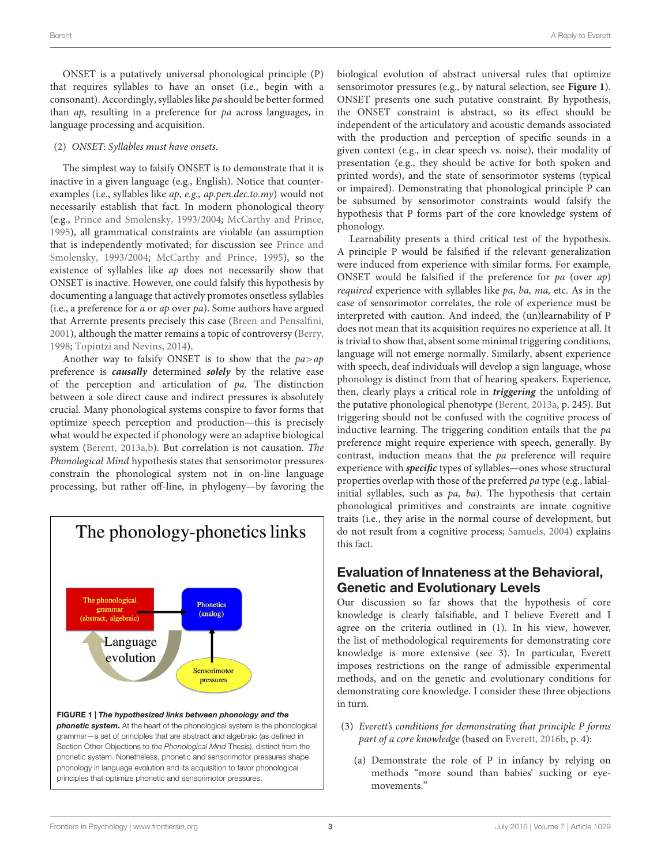ONSET is a putatively universal phonological principle (P) that requires syllables to have an onset (i.e., begin with a consonant). Accordingly, syllables like pa should be better formed than ap, resulting in a preference for pa across languages, in language processing and acquisition.

### (2) ONSET: Syllables must have onsets.

The simplest way to falsify ONSET is to demonstrate that it is inactive in a given language (e.g., English). Notice that counterexamples (i.e., syllables like ap, e.g., ap.pen.dec.to.my) would not necessarily establish that fact. In modern phonological theory (e.g., [Prince and Smolensky,](#page-12-5) [1993/2004;](#page-12-5) [McCarthy and Prince,](#page-11-13) [1995\)](#page-11-13), all grammatical constraints are violable (an assumption that is independently motivated; for discussion see [Prince and](#page-12-5) [Smolensky,](#page-12-5) [1993/2004;](#page-12-5) [McCarthy and Prince,](#page-11-13) [1995\)](#page-11-13), so the existence of syllables like ap does not necessarily show that ONSET is inactive. However, one could falsify this hypothesis by documenting a language that actively promotes onsetless syllables (i.e., a preference for a or ap over pa). Some authors have argued that Arrernte presents precisely this case [\(Breen and Pensalfini,](#page-11-14) [2001\)](#page-11-14), although the matter remains a topic of controversy [\(Berry,](#page-11-15) [1998;](#page-11-15) [Topintzi and Nevins,](#page-12-6) [2014\)](#page-12-6).

Another way to falsify ONSET is to show that the  $pa > ap$ preference is **causally** determined **solely** by the relative ease of the perception and articulation of pa. The distinction between a sole direct cause and indirect pressures is absolutely crucial. Many phonological systems conspire to favor forms that optimize speech perception and production—this is precisely what would be expected if phonology were an adaptive biological system [\(Berent,](#page-10-0) [2013a](#page-10-0)[,b\)](#page-10-1). But correlation is not causation. The Phonological Mind hypothesis states that sensorimotor pressures constrain the phonological system not in on-line language processing, but rather off-line, in phylogeny—by favoring the

<span id="page-2-0"></span>

biological evolution of abstract universal rules that optimize sensorimotor pressures (e.g., by natural selection, see **[Figure 1](#page-2-0)**). ONSET presents one such putative constraint. By hypothesis, the ONSET constraint is abstract, so its effect should be independent of the articulatory and acoustic demands associated with the production and perception of specific sounds in a given context (e.g., in clear speech vs. noise), their modality of presentation (e.g., they should be active for both spoken and printed words), and the state of sensorimotor systems (typical or impaired). Demonstrating that phonological principle P can be subsumed by sensorimotor constraints would falsify the hypothesis that P forms part of the core knowledge system of phonology.

Learnability presents a third critical test of the hypothesis. A principle P would be falsified if the relevant generalization were induced from experience with similar forms. For example, ONSET would be falsified if the preference for pa (over ap) required experience with syllables like pa, ba, ma, etc. As in the case of sensorimotor correlates, the role of experience must be interpreted with caution. And indeed, the (un)learnability of P does not mean that its acquisition requires no experience at all. It is trivial to show that, absent some minimal triggering conditions, language will not emerge normally. Similarly, absent experience with speech, deaf individuals will develop a sign language, whose phonology is distinct from that of hearing speakers. Experience, then, clearly plays a critical role in **triggering** the unfolding of the putative phonological phenotype [\(Berent,](#page-10-0) [2013a,](#page-10-0) p. 245). But triggering should not be confused with the cognitive process of inductive learning. The triggering condition entails that the pa preference might require experience with speech, generally. By contrast, induction means that the pa preference will require experience with **specific** types of syllables—ones whose structural properties overlap with those of the preferred pa type (e.g., labialinitial syllables, such as  $pa$ ,  $ba$ ). The hypothesis that certain phonological primitives and constraints are innate cognitive traits (i.e., they arise in the normal course of development, but do not result from a cognitive process; [Samuels,](#page-12-7) [2004\)](#page-12-7) explains this fact.

# Evaluation of Innateness at the Behavioral, Genetic and Evolutionary Levels

Our discussion so far shows that the hypothesis of core knowledge is clearly falsifiable, and I believe Everett and I agree on the criteria outlined in (1). In his view, however, the list of methodological requirements for demonstrating core knowledge is more extensive (see 3). In particular, Everett imposes restrictions on the range of admissible experimental methods, and on the genetic and evolutionary conditions for demonstrating core knowledge. I consider these three objections in turn.

- (3) Everett's conditions for demonstrating that principle P forms part of a core knowledge (based on [Everett,](#page-11-0) [2016b,](#page-11-0) p. 4):
	- (a) Demonstrate the role of P in infancy by relying on methods "more sound than babies' sucking or eyemovements."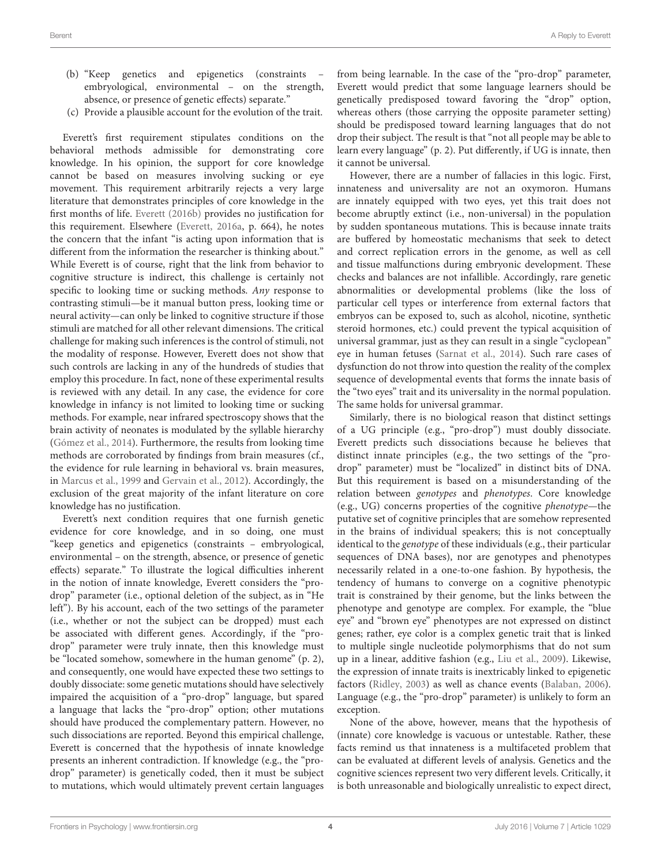- (b) "Keep genetics and epigenetics (constraints embryological, environmental – on the strength, absence, or presence of genetic effects) separate."
- (c) Provide a plausible account for the evolution of the trait.

Everett's first requirement stipulates conditions on the behavioral methods admissible for demonstrating core knowledge. In his opinion, the support for core knowledge cannot be based on measures involving sucking or eye movement. This requirement arbitrarily rejects a very large literature that demonstrates principles of core knowledge in the first months of life. [Everett](#page-11-0) [\(2016b\)](#page-11-0) provides no justification for this requirement. Elsewhere [\(Everett,](#page-11-1) [2016a,](#page-11-1) p. 664), he notes the concern that the infant "is acting upon information that is different from the information the researcher is thinking about." While Everett is of course, right that the link from behavior to cognitive structure is indirect, this challenge is certainly not specific to looking time or sucking methods. Any response to contrasting stimuli—be it manual button press, looking time or neural activity—can only be linked to cognitive structure if those stimuli are matched for all other relevant dimensions. The critical challenge for making such inferences is the control of stimuli, not the modality of response. However, Everett does not show that such controls are lacking in any of the hundreds of studies that employ this procedure. In fact, none of these experimental results is reviewed with any detail. In any case, the evidence for core knowledge in infancy is not limited to looking time or sucking methods. For example, near infrared spectroscopy shows that the brain activity of neonates is modulated by the syllable hierarchy [\(Gómez et al.,](#page-11-16) [2014\)](#page-11-16). Furthermore, the results from looking time methods are corroborated by findings from brain measures (cf., the evidence for rule learning in behavioral vs. brain measures, in [Marcus et al.,](#page-11-17) [1999](#page-11-17) and [Gervain et al.,](#page-11-18) [2012\)](#page-11-18). Accordingly, the exclusion of the great majority of the infant literature on core knowledge has no justification.

Everett's next condition requires that one furnish genetic evidence for core knowledge, and in so doing, one must "keep genetics and epigenetics (constraints – embryological, environmental – on the strength, absence, or presence of genetic effects) separate." To illustrate the logical difficulties inherent in the notion of innate knowledge, Everett considers the "prodrop" parameter (i.e., optional deletion of the subject, as in "He left"). By his account, each of the two settings of the parameter (i.e., whether or not the subject can be dropped) must each be associated with different genes. Accordingly, if the "prodrop" parameter were truly innate, then this knowledge must be "located somehow, somewhere in the human genome" (p. 2), and consequently, one would have expected these two settings to doubly dissociate: some genetic mutations should have selectively impaired the acquisition of a "pro-drop" language, but spared a language that lacks the "pro-drop" option; other mutations should have produced the complementary pattern. However, no such dissociations are reported. Beyond this empirical challenge, Everett is concerned that the hypothesis of innate knowledge presents an inherent contradiction. If knowledge (e.g., the "prodrop" parameter) is genetically coded, then it must be subject to mutations, which would ultimately prevent certain languages

from being learnable. In the case of the "pro-drop" parameter, Everett would predict that some language learners should be genetically predisposed toward favoring the "drop" option, whereas others (those carrying the opposite parameter setting) should be predisposed toward learning languages that do not drop their subject. The result is that "not all people may be able to learn every language" (p. 2). Put differently, if UG is innate, then it cannot be universal.

However, there are a number of fallacies in this logic. First, innateness and universality are not an oxymoron. Humans are innately equipped with two eyes, yet this trait does not become abruptly extinct (i.e., non-universal) in the population by sudden spontaneous mutations. This is because innate traits are buffered by homeostatic mechanisms that seek to detect and correct replication errors in the genome, as well as cell and tissue malfunctions during embryonic development. These checks and balances are not infallible. Accordingly, rare genetic abnormalities or developmental problems (like the loss of particular cell types or interference from external factors that embryos can be exposed to, such as alcohol, nicotine, synthetic steroid hormones, etc.) could prevent the typical acquisition of universal grammar, just as they can result in a single "cyclopean" eye in human fetuses [\(Sarnat et al.,](#page-12-8) [2014\)](#page-12-8). Such rare cases of dysfunction do not throw into question the reality of the complex sequence of developmental events that forms the innate basis of the "two eyes" trait and its universality in the normal population. The same holds for universal grammar.

Similarly, there is no biological reason that distinct settings of a UG principle (e.g., "pro-drop") must doubly dissociate. Everett predicts such dissociations because he believes that distinct innate principles (e.g., the two settings of the "prodrop" parameter) must be "localized" in distinct bits of DNA. But this requirement is based on a misunderstanding of the relation between genotypes and phenotypes. Core knowledge (e.g., UG) concerns properties of the cognitive phenotype—the putative set of cognitive principles that are somehow represented in the brains of individual speakers; this is not conceptually identical to the genotype of these individuals (e.g., their particular sequences of DNA bases), nor are genotypes and phenotypes necessarily related in a one-to-one fashion. By hypothesis, the tendency of humans to converge on a cognitive phenotypic trait is constrained by their genome, but the links between the phenotype and genotype are complex. For example, the "blue eye" and "brown eye" phenotypes are not expressed on distinct genes; rather, eye color is a complex genetic trait that is linked to multiple single nucleotide polymorphisms that do not sum up in a linear, additive fashion (e.g., [Liu et al.,](#page-11-19) [2009\)](#page-11-19). Likewise, the expression of innate traits is inextricably linked to epigenetic factors [\(Ridley,](#page-12-9) [2003\)](#page-12-9) as well as chance events [\(Balaban,](#page-10-2) [2006\)](#page-10-2). Language (e.g., the "pro-drop" parameter) is unlikely to form an exception.

None of the above, however, means that the hypothesis of (innate) core knowledge is vacuous or untestable. Rather, these facts remind us that innateness is a multifaceted problem that can be evaluated at different levels of analysis. Genetics and the cognitive sciences represent two very different levels. Critically, it is both unreasonable and biologically unrealistic to expect direct,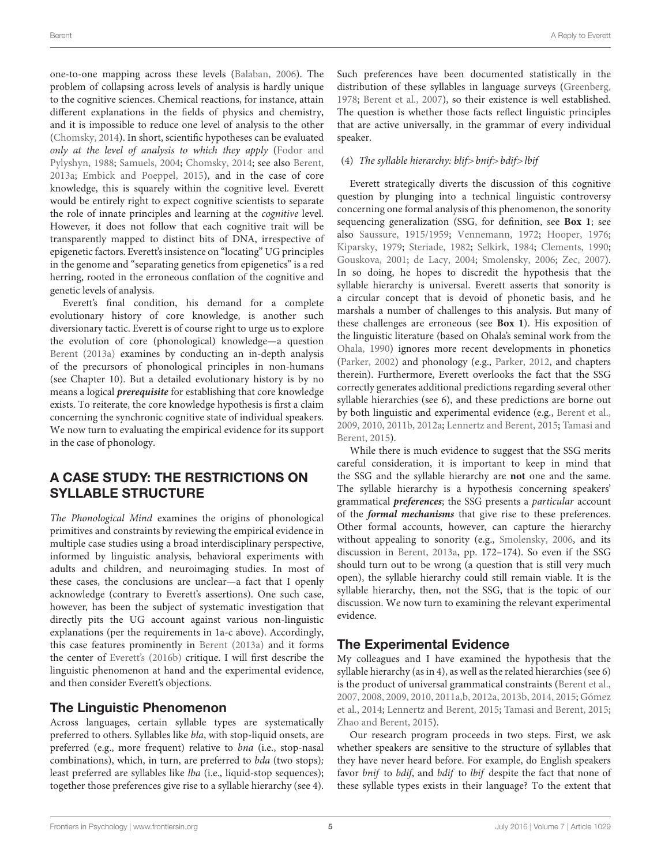one-to-one mapping across these levels [\(Balaban,](#page-10-2) [2006\)](#page-10-2). The problem of collapsing across levels of analysis is hardly unique to the cognitive sciences. Chemical reactions, for instance, attain different explanations in the fields of physics and chemistry, and it is impossible to reduce one level of analysis to the other [\(Chomsky,](#page-11-20) [2014\)](#page-11-20). In short, scientific hypotheses can be evaluated only at the level of analysis to which they apply [\(Fodor and](#page-11-21) [Pylyshyn,](#page-11-21) [1988;](#page-11-21) [Samuels,](#page-12-7) [2004;](#page-12-7) [Chomsky,](#page-11-20) [2014;](#page-11-20) see also [Berent,](#page-10-0) [2013a;](#page-10-0) [Embick and Poeppel,](#page-11-22) [2015\)](#page-11-22), and in the case of core knowledge, this is squarely within the cognitive level. Everett would be entirely right to expect cognitive scientists to separate the role of innate principles and learning at the cognitive level. However, it does not follow that each cognitive trait will be transparently mapped to distinct bits of DNA, irrespective of epigenetic factors. Everett's insistence on "locating" UG principles in the genome and "separating genetics from epigenetics" is a red herring, rooted in the erroneous conflation of the cognitive and genetic levels of analysis.

Everett's final condition, his demand for a complete evolutionary history of core knowledge, is another such diversionary tactic. Everett is of course right to urge us to explore the evolution of core (phonological) knowledge—a question [Berent](#page-10-0) [\(2013a\)](#page-10-0) examines by conducting an in-depth analysis of the precursors of phonological principles in non-humans (see Chapter 10). But a detailed evolutionary history is by no means a logical **prerequisite** for establishing that core knowledge exists. To reiterate, the core knowledge hypothesis is first a claim concerning the synchronic cognitive state of individual speakers. We now turn to evaluating the empirical evidence for its support in the case of phonology.

# A CASE STUDY: THE RESTRICTIONS ON SYLLABLE STRUCTURE

The Phonological Mind examines the origins of phonological primitives and constraints by reviewing the empirical evidence in multiple case studies using a broad interdisciplinary perspective, informed by linguistic analysis, behavioral experiments with adults and children, and neuroimaging studies. In most of these cases, the conclusions are unclear—a fact that I openly acknowledge (contrary to Everett's assertions). One such case, however, has been the subject of systematic investigation that directly pits the UG account against various non-linguistic explanations (per the requirements in 1a-c above). Accordingly, this case features prominently in [Berent](#page-10-0) [\(2013a\)](#page-10-0) and it forms the center of [Everett'](#page-11-0)s [\(2016b\)](#page-11-0) critique. I will first describe the linguistic phenomenon at hand and the experimental evidence, and then consider Everett's objections.

### The Linguistic Phenomenon

Across languages, certain syllable types are systematically preferred to others. Syllables like bla, with stop-liquid onsets, are preferred (e.g., more frequent) relative to bna (i.e., stop-nasal combinations), which, in turn, are preferred to bda (two stops); least preferred are syllables like lba (i.e., liquid-stop sequences); together those preferences give rise to a syllable hierarchy (see 4).

Such preferences have been documented statistically in the distribution of these syllables in language surveys [\(Greenberg,](#page-11-23) [1978;](#page-11-23) [Berent et al.,](#page-11-24) [2007\)](#page-11-24), so their existence is well established. The question is whether those facts reflect linguistic principles that are active universally, in the grammar of every individual speaker.

### (4) The syllable hierarchy: blif>bnif>bdif>lbif

Everett strategically diverts the discussion of this cognitive question by plunging into a technical linguistic controversy concerning one formal analysis of this phenomenon, the sonority sequencing generalization (SSG, for definition, see **Box 1**; see also [Saussure,](#page-12-10) [1915/1959;](#page-12-10) [Vennemann,](#page-12-11) [1972;](#page-12-11) [Hooper,](#page-11-25) [1976;](#page-11-25) [Kiparsky,](#page-11-26) [1979;](#page-11-26) [Steriade,](#page-12-12) [1982;](#page-12-12) [Selkirk,](#page-12-13) [1984;](#page-12-13) [Clements,](#page-11-27) [1990;](#page-11-27) [Gouskova,](#page-11-28) [2001;](#page-11-28) [de Lacy,](#page-11-29) [2004;](#page-11-29) [Smolensky,](#page-12-14) [2006;](#page-12-14) [Zec,](#page-12-15) [2007\)](#page-12-15). In so doing, he hopes to discredit the hypothesis that the syllable hierarchy is universal. Everett asserts that sonority is a circular concept that is devoid of phonetic basis, and he marshals a number of challenges to this analysis. But many of these challenges are erroneous (see **Box 1**). His exposition of the linguistic literature (based on Ohala's seminal work from the [Ohala,](#page-12-16) [1990\)](#page-12-16) ignores more recent developments in phonetics [\(Parker,](#page-12-17) [2002\)](#page-12-17) and phonology (e.g., [Parker,](#page-12-18) [2012,](#page-12-18) and chapters therein). Furthermore, Everett overlooks the fact that the SSG correctly generates additional predictions regarding several other syllable hierarchies (see 6), and these predictions are borne out by both linguistic and experimental evidence (e.g., [Berent et al.,](#page-11-30) [2009,](#page-11-30) [2010,](#page-10-3) [2011b,](#page-11-31) [2012a;](#page-10-4) [Lennertz and Berent,](#page-11-32) [2015;](#page-11-32) [Tamasi and](#page-12-19) [Berent,](#page-12-19) [2015\)](#page-12-19).

While there is much evidence to suggest that the SSG merits careful consideration, it is important to keep in mind that the SSG and the syllable hierarchy are **not** one and the same. The syllable hierarchy is a hypothesis concerning speakers' grammatical **preferences**; the SSG presents a particular account of the **formal mechanisms** that give rise to these preferences. Other formal accounts, however, can capture the hierarchy without appealing to sonority (e.g., [Smolensky,](#page-12-14) [2006,](#page-12-14) and its discussion in [Berent,](#page-10-0) [2013a,](#page-10-0) pp. 172–174). So even if the SSG should turn out to be wrong (a question that is still very much open), the syllable hierarchy could still remain viable. It is the syllable hierarchy, then, not the SSG, that is the topic of our discussion. We now turn to examining the relevant experimental evidence.

### The Experimental Evidence

My colleagues and I have examined the hypothesis that the syllable hierarchy (as in 4), as well as the related hierarchies (see 6) is the product of universal grammatical constraints [\(Berent et al.,](#page-11-24) [2007,](#page-11-24) [2008,](#page-10-5) [2009,](#page-11-30) [2010,](#page-10-3) [2011a,](#page-10-6)[b,](#page-11-31) [2012a,](#page-10-4) [2013b,](#page-11-33) [2014,](#page-11-34) [2015;](#page-10-7) [Gómez](#page-11-16) [et al.,](#page-11-16) [2014;](#page-11-16) [Lennertz and Berent,](#page-11-32) [2015;](#page-11-32) [Tamasi and Berent,](#page-12-19) [2015;](#page-12-19) [Zhao and Berent,](#page-12-20) [2015\)](#page-12-20).

Our research program proceeds in two steps. First, we ask whether speakers are sensitive to the structure of syllables that they have never heard before. For example, do English speakers favor bnif to bdif, and bdif to lbif despite the fact that none of these syllable types exists in their language? To the extent that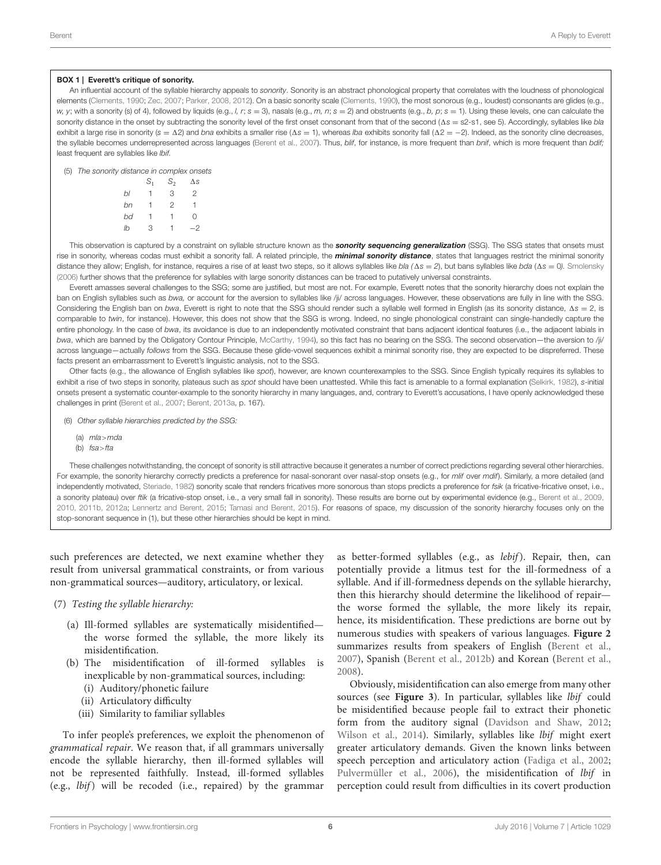#### BOX 1 | Everett's critique of sonority.

An influential account of the syllable hierarchy appeals to sonority. Sonority is an abstract phonological property that correlates with the loudness of phonological elements [\(Clements,](#page-11-27) [1990;](#page-11-27) [Zec,](#page-12-15) [2007;](#page-12-15) [Parker,](#page-12-21) [2008,](#page-12-21) [2012\)](#page-12-18). On a basic sonority scale [\(Clements,](#page-11-27) [1990\)](#page-11-27), the most sonorous (e.g., loudest) consonants are glides (e.g., w, y; with a sonority (s) of 4), followed by liquids (e.g., l, r; s = 3), nasals (e.g., m, n; s = 2) and obstruents (e.g., b, p; s = 1). Using these levels, one can calculate the sonority distance in the onset by subtracting the sonority level of the first onset consonant from that of the second ( $\Delta s = s^2$ -s1, see 5). Accordingly, syllables like bla exhibit a large rise in sonority (s =  $\Delta 2$ ) and bna exhibits a smaller rise ( $\Delta s = 1$ ), whereas lba exhibits sonority fall ( $\Delta 2 = -2$ ). Indeed, as the sonority cline decreases, the syllable becomes underrepresented across languages [\(Berent et al.,](#page-11-24) [2007\)](#page-11-24). Thus, blif, for instance, is more frequent than bnif, which is more frequent than bdif; least frequent are syllables like lbif.

(5) The sonority distance in complex onsets

|    | $S_{1}$ | $S_2$ | Δs |
|----|---------|-------|----|
| bl | ٦       | 3     | 2  |
| bn | 1       | 2     | 1  |
| bd | 1       | 1     | Ω  |
| lb | 3       | 1     | -2 |

This observation is captured by a constraint on syllable structure known as the **sonority sequencing generalization** (SSG). The SSG states that onsets must rise in sonority, whereas codas must exhibit a sonority fall. A related principle, the *minimal sonority distance*, states that languages restrict the minimal sonority distance they allow; English, for instance, requires a rise of at least two steps, so it allows syllables like bla ( $\Delta s = 2$ ), but bans syllables like bda ( $\Delta s = 0$ ). [Smolensky](#page-12-14) [\(2006\)](#page-12-14) further shows that the preference for syllables with large sonority distances can be traced to putatively universal constraints.

Everett amasses several challenges to the SSG; some are justified, but most are not. For example, Everett notes that the sonority hierarchy does not explain the ban on English syllables such as bwa, or account for the aversion to syllables like /ji/ across languages. However, these observations are fully in line with the SSG. Considering the English ban on bwa, Everett is right to note that the SSG should render such a syllable well formed in English (as its sonority distance,  $\Delta s = 2$ , is comparable to twin, for instance). However, this does not show that the SSG is wrong. Indeed, no single phonological constraint can single-handedly capture the entire phonology. In the case of bwa, its avoidance is due to an independently motivated constraint that bans adjacent identical features (i.e., the adjacent labials in bwa, which are banned by the Obligatory Contour Principle, [McCarthy,](#page-11-35) [1994\)](#page-11-35), so this fact has no bearing on the SSG. The second observation—the aversion to /ji/ across language—actually follows from the SSG. Because these glide-vowel sequences exhibit a minimal sonority rise, they are expected to be dispreferred. These facts present an embarrassment to Everett's linguistic analysis, not to the SSG.

Other facts (e.g., the allowance of English syllables like spot), however, are known counterexamples to the SSG. Since English typically requires its syllables to exhibit a rise of two steps in sonority, plateaus such as spot should have been unattested. While this fact is amenable to a formal explanation [\(Selkirk,](#page-12-22) [1982\)](#page-12-22), s-initial onsets present a systematic counter-example to the sonority hierarchy in many languages, and, contrary to Everett's accusations, I have openly acknowledged these challenges in print [\(Berent et al.,](#page-11-24) [2007;](#page-11-24) [Berent,](#page-10-0) [2013a,](#page-10-0) p. 167).

(6) Other syllable hierarchies predicted by the SSG:

(a) mla>mda

(b) fsa>fta

These challenges notwithstanding, the concept of sonority is still attractive because it generates a number of correct predictions regarding several other hierarchies. For example, the sonority hierarchy correctly predicts a preference for nasal-sonorant over nasal-stop onsets (e.g., for mlif over mdif). Similarly, a more detailed (and independently motivated, [Steriade,](#page-12-12) [1982\)](#page-12-12) sonority scale that renders fricatives more sonorous than stops predicts a preference for fsik (a fricative-fricative onset, i.e., a sonority plateau) over ftik (a fricative-stop onset, i.e., a very small fall in sonority). These results are borne out by experimental evidence (e.g., [Berent et al.,](#page-11-30) [2009,](#page-11-30) [2010,](#page-10-3) [2011b,](#page-11-31) [2012a;](#page-10-4) [Lennertz and Berent,](#page-11-32) [2015;](#page-11-32) [Tamasi and Berent,](#page-12-19) [2015\)](#page-12-19). For reasons of space, my discussion of the sonority hierarchy focuses only on the stop-sonorant sequence in (1), but these other hierarchies should be kept in mind.

such preferences are detected, we next examine whether they result from universal grammatical constraints, or from various non-grammatical sources—auditory, articulatory, or lexical.

### (7) Testing the syllable hierarchy:

- (a) Ill-formed syllables are systematically misidentified the worse formed the syllable, the more likely its misidentification.
- (b) The misidentification of ill-formed syllables is inexplicable by non-grammatical sources, including:
	- (i) Auditory/phonetic failure
	- (ii) Articulatory difficulty
	- (iii) Similarity to familiar syllables

To infer people's preferences, we exploit the phenomenon of grammatical repair. We reason that, if all grammars universally encode the syllable hierarchy, then ill-formed syllables will not be represented faithfully. Instead, ill-formed syllables (e.g., lbif) will be recoded (i.e., repaired) by the grammar

as better-formed syllables (e.g., as lebif). Repair, then, can potentially provide a litmus test for the ill-formedness of a syllable. And if ill-formedness depends on the syllable hierarchy, then this hierarchy should determine the likelihood of repair the worse formed the syllable, the more likely its repair, hence, its misidentification. These predictions are borne out by numerous studies with speakers of various languages. **[Figure 2](#page-6-0)** summarizes results from speakers of English [\(Berent et al.,](#page-11-24) [2007\)](#page-11-24), Spanish [\(Berent et al.,](#page-10-8) [2012b\)](#page-10-8) and Korean [\(Berent et al.,](#page-10-5) [2008\)](#page-10-5).

Obviously, misidentification can also emerge from many other sources (see **[Figure 3](#page-6-1)**). In particular, syllables like lbif could be misidentified because people fail to extract their phonetic form from the auditory signal [\(Davidson and Shaw,](#page-11-36) [2012;](#page-11-36) [Wilson et al.,](#page-12-23) [2014\)](#page-12-23). Similarly, syllables like lbif might exert greater articulatory demands. Given the known links between speech perception and articulatory action [\(Fadiga et al.,](#page-11-37) [2002;](#page-11-37) [Pulvermüller et al.,](#page-12-24) [2006\)](#page-12-24), the misidentification of *lbif* in perception could result from difficulties in its covert production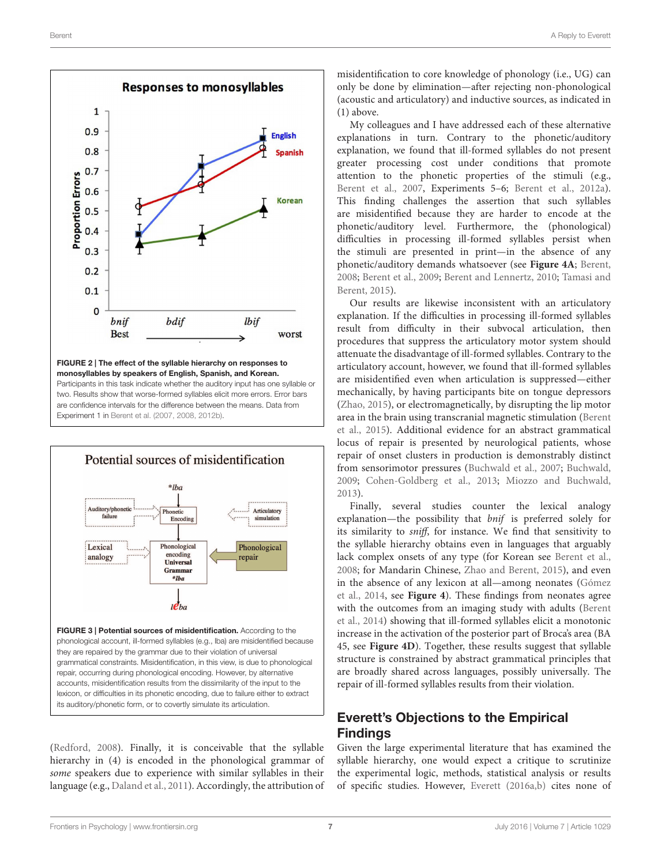

<span id="page-6-0"></span>

<span id="page-6-1"></span>[\(Redford,](#page-12-25) [2008\)](#page-12-25). Finally, it is conceivable that the syllable hierarchy in (4) is encoded in the phonological grammar of some speakers due to experience with similar syllables in their language (e.g., [Daland et al.,](#page-11-38) [2011\)](#page-11-38). Accordingly, the attribution of misidentification to core knowledge of phonology (i.e., UG) can only be done by elimination—after rejecting non-phonological (acoustic and articulatory) and inductive sources, as indicated in (1) above.

My colleagues and I have addressed each of these alternative explanations in turn. Contrary to the phonetic/auditory explanation, we found that ill-formed syllables do not present greater processing cost under conditions that promote attention to the phonetic properties of the stimuli (e.g., [Berent et al.,](#page-11-24) [2007,](#page-11-24) Experiments 5–6; [Berent et al.,](#page-10-4) [2012a\)](#page-10-4). This finding challenges the assertion that such syllables are misidentified because they are harder to encode at the phonetic/auditory level. Furthermore, the (phonological) difficulties in processing ill-formed syllables persist when the stimuli are presented in print—in the absence of any phonetic/auditory demands whatsoever (see **[Figure 4A](#page-7-0)**; [Berent,](#page-10-9) [2008;](#page-10-9) [Berent et al.,](#page-11-30) [2009;](#page-11-30) [Berent and Lennertz,](#page-10-10) [2010;](#page-10-10) [Tamasi and](#page-12-19) [Berent,](#page-12-19) [2015\)](#page-12-19).

Our results are likewise inconsistent with an articulatory explanation. If the difficulties in processing ill-formed syllables result from difficulty in their subvocal articulation, then procedures that suppress the articulatory motor system should attenuate the disadvantage of ill-formed syllables. Contrary to the articulatory account, however, we found that ill-formed syllables are misidentified even when articulation is suppressed—either mechanically, by having participants bite on tongue depressors [\(Zhao,](#page-12-26) [2015\)](#page-12-26), or electromagnetically, by disrupting the lip motor area in the brain using transcranial magnetic stimulation [\(Berent](#page-10-7) [et al.,](#page-10-7) [2015\)](#page-10-7). Additional evidence for an abstract grammatical locus of repair is presented by neurological patients, whose repair of onset clusters in production is demonstrably distinct from sensorimotor pressures [\(Buchwald et al.,](#page-11-39) [2007;](#page-11-39) [Buchwald,](#page-11-40) [2009;](#page-11-40) [Cohen-Goldberg et al.,](#page-11-41) [2013;](#page-11-41) [Miozzo and Buchwald,](#page-12-27) [2013\)](#page-12-27).

Finally, several studies counter the lexical analogy explanation—the possibility that bnif is preferred solely for its similarity to sniff, for instance. We find that sensitivity to the syllable hierarchy obtains even in languages that arguably lack complex onsets of any type (for Korean see [Berent et al.,](#page-10-5) [2008;](#page-10-5) for Mandarin Chinese, [Zhao and Berent,](#page-12-20) [2015\)](#page-12-20), and even in the absence of any lexicon at all—among neonates [\(Gómez](#page-11-16) [et al.,](#page-11-16) [2014,](#page-11-16) see **[Figure 4](#page-7-0)**). These findings from neonates agree with the outcomes from an imaging study with adults [\(Berent](#page-11-34) [et al.,](#page-11-34) [2014\)](#page-11-34) showing that ill-formed syllables elicit a monotonic increase in the activation of the posterior part of Broca's area (BA 45, see **[Figure 4D](#page-7-0)**). Together, these results suggest that syllable structure is constrained by abstract grammatical principles that are broadly shared across languages, possibly universally. The repair of ill-formed syllables results from their violation.

# Everett's Objections to the Empirical Findings

Given the large experimental literature that has examined the syllable hierarchy, one would expect a critique to scrutinize the experimental logic, methods, statistical analysis or results of specific studies. However, [Everett](#page-11-1) [\(2016a,](#page-11-1)[b\)](#page-11-0) cites none of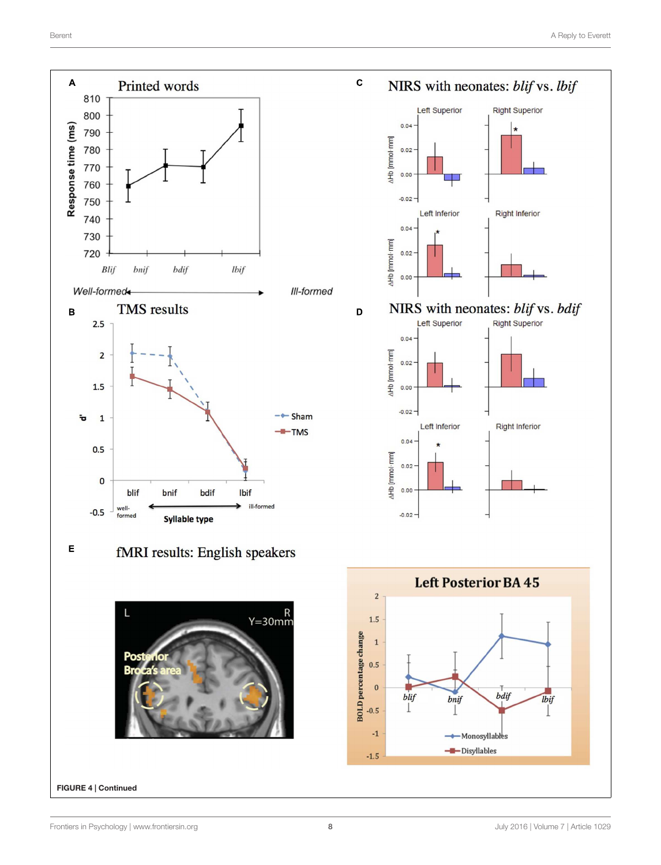<span id="page-7-0"></span>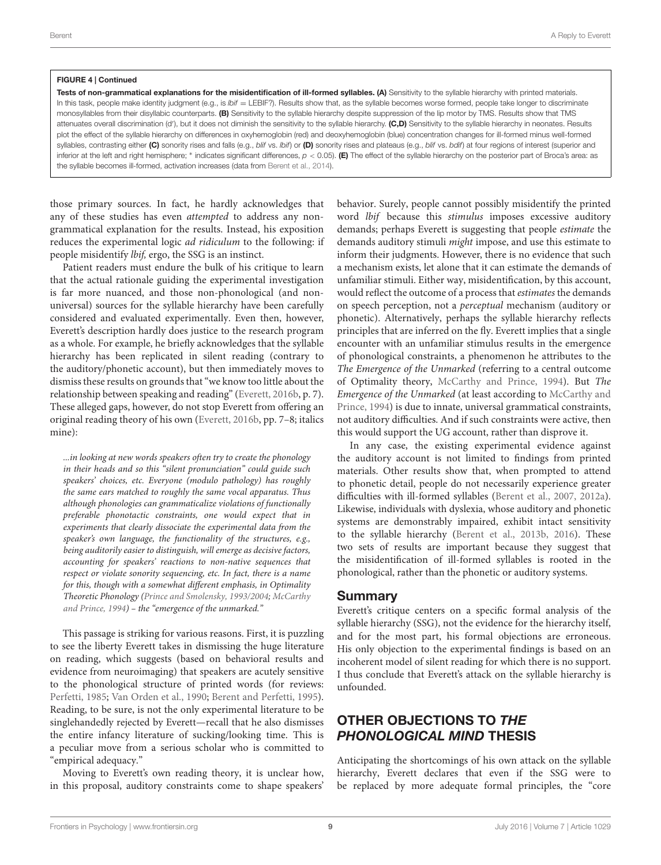#### FIGURE 4 | Continued

Tests of non-grammatical explanations for the misidentification of ill-formed syllables. (A) Sensitivity to the syllable hierarchy with printed materials. In this task, people make identity judgment (e.g., is Ibif = LEBIF?). Results show that, as the syllable becomes worse formed, people take longer to discriminate monosyllables from their disyllabic counterparts. (B) Sensitivity to the syllable hierarchy despite suppression of the lip motor by TMS. Results show that TMS attenuates overall discrimination (d'), but it does not diminish the sensitivity to the syllable hierarchy. (C,D) Sensitivity to the syllable hierarchy in neonates. Results plot the effect of the syllable hierarchy on differences in oxyhemoglobin (red) and deoxyhemoglobin (blue) concentration changes for ill-formed minus well-formed syllables, contrasting either (C) sonority rises and falls (e.g., blif vs. Ibif) or (D) sonority rises and plateaus (e.g., blif vs. bdif) at four regions of interest (superior and inferior at the left and right hemisphere; \* indicates significant differences,  $p < 0.05$ . (E) The effect of the syllable hierarchy on the posterior part of Broca's area: as the syllable becomes ill-formed, activation increases (data from [Berent et al.,](#page-11-34) [2014\)](#page-11-34).

those primary sources. In fact, he hardly acknowledges that any of these studies has even attempted to address any nongrammatical explanation for the results. Instead, his exposition reduces the experimental logic ad ridiculum to the following: if people misidentify lbif, ergo, the SSG is an instinct.

Patient readers must endure the bulk of his critique to learn that the actual rationale guiding the experimental investigation is far more nuanced, and those non-phonological (and nonuniversal) sources for the syllable hierarchy have been carefully considered and evaluated experimentally. Even then, however, Everett's description hardly does justice to the research program as a whole. For example, he briefly acknowledges that the syllable hierarchy has been replicated in silent reading (contrary to the auditory/phonetic account), but then immediately moves to dismiss these results on grounds that "we know too little about the relationship between speaking and reading" [\(Everett,](#page-11-0) [2016b,](#page-11-0) p. 7). These alleged gaps, however, do not stop Everett from offering an original reading theory of his own [\(Everett,](#page-11-0) [2016b,](#page-11-0) pp. 7–8; italics mine):

...in looking at new words speakers often try to create the phonology in their heads and so this "silent pronunciation" could guide such speakers' choices, etc. Everyone (modulo pathology) has roughly the same ears matched to roughly the same vocal apparatus. Thus although phonologies can grammaticalize violations of functionally preferable phonotactic constraints, one would expect that in experiments that clearly dissociate the experimental data from the speaker's own language, the functionality of the structures, e.g., being auditorily easier to distinguish, will emerge as decisive factors, accounting for speakers' reactions to non-native sequences that respect or violate sonority sequencing, etc. In fact, there is a name for this, though with a somewhat different emphasis, in Optimality Theoretic Phonology [\(Prince and Smolensky,](#page-12-5) [1993/2004;](#page-12-5) [McCarthy](#page-11-42) [and Prince,](#page-11-42) [1994\)](#page-11-42) – the "emergence of the unmarked."

This passage is striking for various reasons. First, it is puzzling to see the liberty Everett takes in dismissing the huge literature on reading, which suggests (based on behavioral results and evidence from neuroimaging) that speakers are acutely sensitive to the phonological structure of printed words (for reviews: [Perfetti,](#page-12-28) [1985;](#page-12-28) [Van Orden et al.,](#page-12-29) [1990;](#page-12-29) [Berent and Perfetti,](#page-11-43) [1995\)](#page-11-43). Reading, to be sure, is not the only experimental literature to be singlehandedly rejected by Everett—recall that he also dismisses the entire infancy literature of sucking/looking time. This is a peculiar move from a serious scholar who is committed to "empirical adequacy."

Moving to Everett's own reading theory, it is unclear how, in this proposal, auditory constraints come to shape speakers'

behavior. Surely, people cannot possibly misidentify the printed word lbif because this stimulus imposes excessive auditory demands; perhaps Everett is suggesting that people estimate the demands auditory stimuli might impose, and use this estimate to inform their judgments. However, there is no evidence that such a mechanism exists, let alone that it can estimate the demands of unfamiliar stimuli. Either way, misidentification, by this account, would reflect the outcome of a process that estimates the demands on speech perception, not a perceptual mechanism (auditory or phonetic). Alternatively, perhaps the syllable hierarchy reflects principles that are inferred on the fly. Everett implies that a single encounter with an unfamiliar stimulus results in the emergence of phonological constraints, a phenomenon he attributes to the The Emergence of the Unmarked (referring to a central outcome of Optimality theory, [McCarthy and Prince,](#page-11-42) [1994\)](#page-11-42). But The Emergence of the Unmarked (at least according to [McCarthy and](#page-11-42) [Prince,](#page-11-42) [1994\)](#page-11-42) is due to innate, universal grammatical constraints, not auditory difficulties. And if such constraints were active, then this would support the UG account, rather than disprove it.

In any case, the existing experimental evidence against the auditory account is not limited to findings from printed materials. Other results show that, when prompted to attend to phonetic detail, people do not necessarily experience greater difficulties with ill-formed syllables [\(Berent et al.,](#page-11-24) [2007,](#page-11-24) [2012a\)](#page-10-4). Likewise, individuals with dyslexia, whose auditory and phonetic systems are demonstrably impaired, exhibit intact sensitivity to the syllable hierarchy [\(Berent et al.,](#page-11-33) [2013b,](#page-11-33) [2016\)](#page-11-44). These two sets of results are important because they suggest that the misidentification of ill-formed syllables is rooted in the phonological, rather than the phonetic or auditory systems.

### Summary

Everett's critique centers on a specific formal analysis of the syllable hierarchy (SSG), not the evidence for the hierarchy itself, and for the most part, his formal objections are erroneous. His only objection to the experimental findings is based on an incoherent model of silent reading for which there is no support. I thus conclude that Everett's attack on the syllable hierarchy is unfounded.

# OTHER OBJECTIONS TO THE PHONOLOGICAL MIND THESIS

Anticipating the shortcomings of his own attack on the syllable hierarchy, Everett declares that even if the SSG were to be replaced by more adequate formal principles, the "core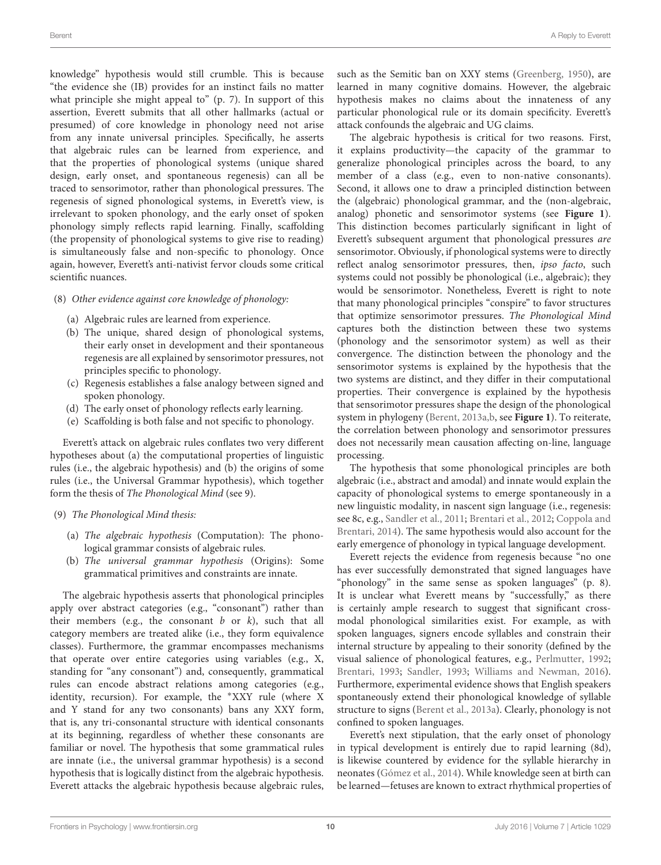knowledge" hypothesis would still crumble. This is because "the evidence she (IB) provides for an instinct fails no matter what principle she might appeal to" (p. 7). In support of this assertion, Everett submits that all other hallmarks (actual or presumed) of core knowledge in phonology need not arise from any innate universal principles. Specifically, he asserts that algebraic rules can be learned from experience, and that the properties of phonological systems (unique shared design, early onset, and spontaneous regenesis) can all be traced to sensorimotor, rather than phonological pressures. The regenesis of signed phonological systems, in Everett's view, is irrelevant to spoken phonology, and the early onset of spoken phonology simply reflects rapid learning. Finally, scaffolding (the propensity of phonological systems to give rise to reading) is simultaneously false and non-specific to phonology. Once again, however, Everett's anti-nativist fervor clouds some critical scientific nuances.

### (8) Other evidence against core knowledge of phonology:

- (a) Algebraic rules are learned from experience.
- (b) The unique, shared design of phonological systems, their early onset in development and their spontaneous regenesis are all explained by sensorimotor pressures, not principles specific to phonology.
- (c) Regenesis establishes a false analogy between signed and spoken phonology.
- (d) The early onset of phonology reflects early learning.
- (e) Scaffolding is both false and not specific to phonology.

Everett's attack on algebraic rules conflates two very different hypotheses about (a) the computational properties of linguistic rules (i.e., the algebraic hypothesis) and (b) the origins of some rules (i.e., the Universal Grammar hypothesis), which together form the thesis of The Phonological Mind (see 9).

### (9) The Phonological Mind thesis:

- (a) The algebraic hypothesis (Computation): The phonological grammar consists of algebraic rules.
- (b) The universal grammar hypothesis (Origins): Some grammatical primitives and constraints are innate.

The algebraic hypothesis asserts that phonological principles apply over abstract categories (e.g., "consonant") rather than their members (e.g., the consonant  $b$  or  $k$ ), such that all category members are treated alike (i.e., they form equivalence classes). Furthermore, the grammar encompasses mechanisms that operate over entire categories using variables (e.g., X, standing for "any consonant") and, consequently, grammatical rules can encode abstract relations among categories (e.g., identity, recursion). For example, the <sup>∗</sup>XXY rule (where X and Y stand for any two consonants) bans any XXY form, that is, any tri-consonantal structure with identical consonants at its beginning, regardless of whether these consonants are familiar or novel. The hypothesis that some grammatical rules are innate (i.e., the universal grammar hypothesis) is a second hypothesis that is logically distinct from the algebraic hypothesis. Everett attacks the algebraic hypothesis because algebraic rules,

such as the Semitic ban on XXY stems [\(Greenberg,](#page-11-45) [1950\)](#page-11-45), are learned in many cognitive domains. However, the algebraic hypothesis makes no claims about the innateness of any particular phonological rule or its domain specificity. Everett's attack confounds the algebraic and UG claims.

The algebraic hypothesis is critical for two reasons. First, it explains productivity—the capacity of the grammar to generalize phonological principles across the board, to any member of a class (e.g., even to non-native consonants). Second, it allows one to draw a principled distinction between the (algebraic) phonological grammar, and the (non-algebraic, analog) phonetic and sensorimotor systems (see **[Figure 1](#page-2-0)**). This distinction becomes particularly significant in light of Everett's subsequent argument that phonological pressures are sensorimotor. Obviously, if phonological systems were to directly reflect analog sensorimotor pressures, then, ipso facto, such systems could not possibly be phonological (i.e., algebraic); they would be sensorimotor. Nonetheless, Everett is right to note that many phonological principles "conspire" to favor structures that optimize sensorimotor pressures. The Phonological Mind captures both the distinction between these two systems (phonology and the sensorimotor system) as well as their convergence. The distinction between the phonology and the sensorimotor systems is explained by the hypothesis that the two systems are distinct, and they differ in their computational properties. Their convergence is explained by the hypothesis that sensorimotor pressures shape the design of the phonological system in phylogeny [\(Berent,](#page-10-0) [2013a,](#page-10-0)[b,](#page-10-1) see **[Figure 1](#page-2-0)**). To reiterate, the correlation between phonology and sensorimotor pressures does not necessarily mean causation affecting on-line, language processing.

The hypothesis that some phonological principles are both algebraic (i.e., abstract and amodal) and innate would explain the capacity of phonological systems to emerge spontaneously in a new linguistic modality, in nascent sign language (i.e., regenesis: see 8c, e.g., [Sandler et al.,](#page-12-30) [2011;](#page-12-30) [Brentari et al.,](#page-11-46) [2012;](#page-11-46) [Coppola and](#page-11-47) [Brentari,](#page-11-47) [2014\)](#page-11-47). The same hypothesis would also account for the early emergence of phonology in typical language development.

Everett rejects the evidence from regenesis because "no one has ever successfully demonstrated that signed languages have "phonology" in the same sense as spoken languages" (p. 8). It is unclear what Everett means by "successfully," as there is certainly ample research to suggest that significant crossmodal phonological similarities exist. For example, as with spoken languages, signers encode syllables and constrain their internal structure by appealing to their sonority (defined by the visual salience of phonological features, e.g., [Perlmutter,](#page-12-31) [1992;](#page-12-31) [Brentari,](#page-11-48) [1993;](#page-11-48) [Sandler,](#page-12-32) [1993;](#page-12-32) [Williams and Newman,](#page-12-33) [2016\)](#page-12-33). Furthermore, experimental evidence shows that English speakers spontaneously extend their phonological knowledge of syllable structure to signs [\(Berent et al.,](#page-10-11) [2013a\)](#page-10-11). Clearly, phonology is not confined to spoken languages.

Everett's next stipulation, that the early onset of phonology in typical development is entirely due to rapid learning (8d), is likewise countered by evidence for the syllable hierarchy in neonates [\(Gómez et al.,](#page-11-16) [2014\)](#page-11-16). While knowledge seen at birth can be learned—fetuses are known to extract rhythmical properties of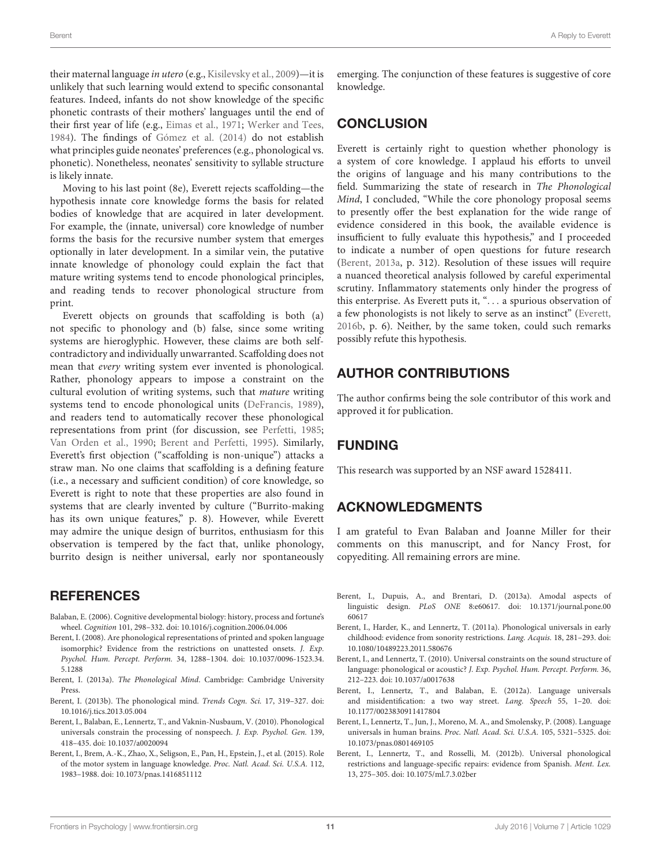their maternal language in utero (e.g., [Kisilevsky et al.,](#page-11-49) [2009\)](#page-11-49)—it is unlikely that such learning would extend to specific consonantal features. Indeed, infants do not show knowledge of the specific phonetic contrasts of their mothers' languages until the end of their first year of life (e.g., [Eimas et al.,](#page-11-50) [1971;](#page-11-50) [Werker and Tees,](#page-12-34) [1984\)](#page-12-34). The findings of [Gómez et al.](#page-11-16) [\(2014\)](#page-11-16) do not establish what principles guide neonates' preferences (e.g., phonological vs. phonetic). Nonetheless, neonates' sensitivity to syllable structure is likely innate.

Moving to his last point (8e), Everett rejects scaffolding—the hypothesis innate core knowledge forms the basis for related bodies of knowledge that are acquired in later development. For example, the (innate, universal) core knowledge of number forms the basis for the recursive number system that emerges optionally in later development. In a similar vein, the putative innate knowledge of phonology could explain the fact that mature writing systems tend to encode phonological principles, and reading tends to recover phonological structure from print.

Everett objects on grounds that scaffolding is both (a) not specific to phonology and (b) false, since some writing systems are hieroglyphic. However, these claims are both selfcontradictory and individually unwarranted. Scaffolding does not mean that every writing system ever invented is phonological. Rather, phonology appears to impose a constraint on the cultural evolution of writing systems, such that mature writing systems tend to encode phonological units [\(DeFrancis,](#page-11-51) [1989\)](#page-11-51), and readers tend to automatically recover these phonological representations from print (for discussion, see [Perfetti,](#page-12-28) [1985;](#page-12-28) [Van Orden et al.,](#page-12-29) [1990;](#page-12-29) [Berent and Perfetti,](#page-11-43) [1995\)](#page-11-43). Similarly, Everett's first objection ("scaffolding is non-unique") attacks a straw man. No one claims that scaffolding is a defining feature (i.e., a necessary and sufficient condition) of core knowledge, so Everett is right to note that these properties are also found in systems that are clearly invented by culture ("Burrito-making has its own unique features," p. 8). However, while Everett may admire the unique design of burritos, enthusiasm for this observation is tempered by the fact that, unlike phonology, burrito design is neither universal, early nor spontaneously

### **REFERENCES**

- <span id="page-10-2"></span>Balaban, E. (2006). Cognitive developmental biology: history, process and fortune's wheel. Cognition 101, 298–332. doi: 10.1016/j.cognition.2006.04.006
- <span id="page-10-9"></span>Berent, I. (2008). Are phonological representations of printed and spoken language isomorphic? Evidence from the restrictions on unattested onsets. J. Exp. Psychol. Hum. Percept. Perform. 34, 1288–1304. doi: 10.1037/0096-1523.34. 5.1288
- <span id="page-10-0"></span>Berent, I. (2013a). The Phonological Mind. Cambridge: Cambridge University Press.
- <span id="page-10-1"></span>Berent, I. (2013b). The phonological mind. Trends Cogn. Sci. 17, 319–327. doi: 10.1016/j.tics.2013.05.004
- <span id="page-10-3"></span>Berent, I., Balaban, E., Lennertz, T., and Vaknin-Nusbaum, V. (2010). Phonological universals constrain the processing of nonspeech. J. Exp. Psychol. Gen. 139, 418–435. doi: 10.1037/a0020094
- <span id="page-10-7"></span>Berent, I., Brem, A.-K., Zhao, X., Seligson, E., Pan, H., Epstein, J., et al. (2015). Role of the motor system in language knowledge. Proc. Natl. Acad. Sci. U.S.A. 112, 1983–1988. doi: 10.1073/pnas.1416851112

emerging. The conjunction of these features is suggestive of core knowledge.

# **CONCLUSION**

Everett is certainly right to question whether phonology is a system of core knowledge. I applaud his efforts to unveil the origins of language and his many contributions to the field. Summarizing the state of research in The Phonological Mind, I concluded, "While the core phonology proposal seems to presently offer the best explanation for the wide range of evidence considered in this book, the available evidence is insufficient to fully evaluate this hypothesis," and I proceeded to indicate a number of open questions for future research [\(Berent,](#page-10-0) [2013a,](#page-10-0) p. 312). Resolution of these issues will require a nuanced theoretical analysis followed by careful experimental scrutiny. Inflammatory statements only hinder the progress of this enterprise. As Everett puts it, ". . . a spurious observation of a few phonologists is not likely to serve as an instinct" [\(Everett,](#page-11-0) [2016b,](#page-11-0) p. 6). Neither, by the same token, could such remarks possibly refute this hypothesis.

# AUTHOR CONTRIBUTIONS

The author confirms being the sole contributor of this work and approved it for publication.

# FUNDING

This research was supported by an NSF award 1528411.

### ACKNOWLEDGMENTS

I am grateful to Evan Balaban and Joanne Miller for their comments on this manuscript, and for Nancy Frost, for copyediting. All remaining errors are mine.

- <span id="page-10-11"></span>Berent, I., Dupuis, A., and Brentari, D. (2013a). Amodal aspects of linguistic design. PLoS ONE 8:e60617. doi: 10.1371/journal.pone.00 60617
- <span id="page-10-6"></span>Berent, I., Harder, K., and Lennertz, T. (2011a). Phonological universals in early childhood: evidence from sonority restrictions. Lang. Acquis. 18, 281–293. doi: 10.1080/10489223.2011.580676
- <span id="page-10-10"></span>Berent, I., and Lennertz, T. (2010). Universal constraints on the sound structure of language: phonological or acoustic? J. Exp. Psychol. Hum. Percept. Perform. 36, 212–223. doi: 10.1037/a0017638
- <span id="page-10-4"></span>Berent, I., Lennertz, T., and Balaban, E. (2012a). Language universals and misidentification: a two way street. Lang. Speech 55, 1–20. doi: 10.1177/0023830911417804
- <span id="page-10-5"></span>Berent, I., Lennertz, T., Jun, J., Moreno, M. A., and Smolensky, P. (2008). Language universals in human brains. Proc. Natl. Acad. Sci. U.S.A. 105, 5321–5325. doi: 10.1073/pnas.0801469105
- <span id="page-10-8"></span>Berent, I., Lennertz, T., and Rosselli, M. (2012b). Universal phonological restrictions and language-specific repairs: evidence from Spanish. Ment. Lex. 13, 275–305. doi: 10.1075/ml.7.3.02ber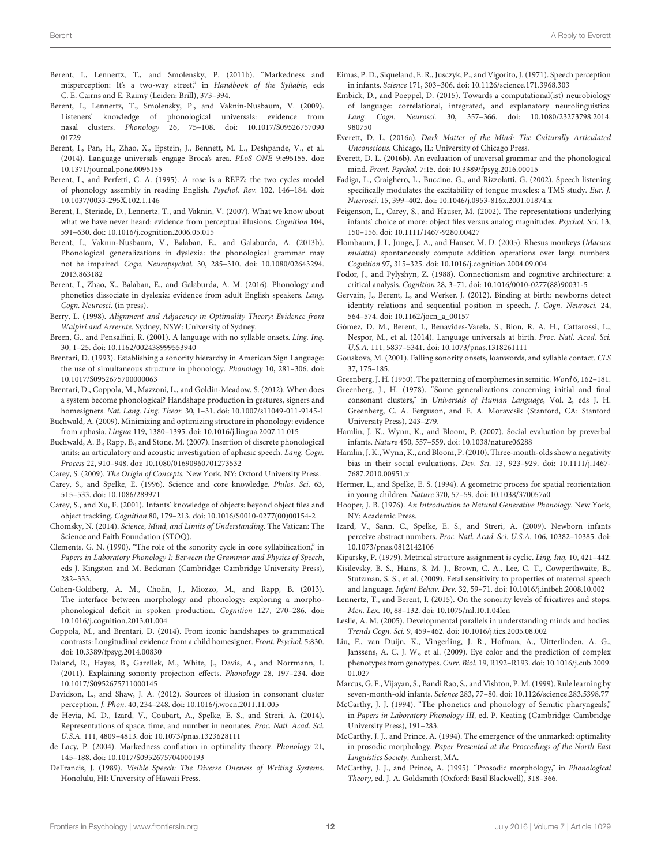- <span id="page-11-31"></span>Berent, I., Lennertz, T., and Smolensky, P. (2011b). "Markedness and misperception: It's a two-way street," in Handbook of the Syllable, eds C. E. Cairns and E. Raimy (Leiden: Brill), 373–394.
- <span id="page-11-30"></span>Berent, I., Lennertz, T., Smolensky, P., and Vaknin-Nusbaum, V. (2009). Listeners' knowledge of phonological universals: evidence from nasal clusters. Phonology 26, 75–108. doi: 10.1017/S09526757090 01729
- <span id="page-11-34"></span>Berent, I., Pan, H., Zhao, X., Epstein, J., Bennett, M. L., Deshpande, V., et al. (2014). Language universals engage Broca's area. PLoS ONE 9:e95155. doi: 10.1371/journal.pone.0095155
- <span id="page-11-43"></span>Berent, I., and Perfetti, C. A. (1995). A rose is a REEZ: the two cycles model of phonology assembly in reading English. Psychol. Rev. 102, 146–184. doi: 10.1037/0033-295X.102.1.146
- <span id="page-11-24"></span>Berent, I., Steriade, D., Lennertz, T., and Vaknin, V. (2007). What we know about what we have never heard: evidence from perceptual illusions. Cognition 104, 591–630. doi: 10.1016/j.cognition.2006.05.015
- <span id="page-11-33"></span>Berent, I., Vaknin-Nusbaum, V., Balaban, E., and Galaburda, A. (2013b). Phonological generalizations in dyslexia: the phonological grammar may not be impaired. Cogn. Neuropsychol. 30, 285–310. doi: 10.1080/02643294. 2013.863182
- <span id="page-11-44"></span>Berent, I., Zhao, X., Balaban, E., and Galaburda, A. M. (2016). Phonology and phonetics dissociate in dyslexia: evidence from adult English speakers. Lang. Cogn. Neurosci. (in press).
- <span id="page-11-15"></span>Berry, L. (1998). Alignment and Adjacency in Optimality Theory: Evidence from Walpiri and Arrernte. Sydney, NSW: University of Sydney.
- <span id="page-11-14"></span>Breen, G., and Pensalfini, R. (2001). A language with no syllable onsets. Ling. Inq. 30, 1–25. doi: 10.1162/002438999553940
- <span id="page-11-48"></span>Brentari, D. (1993). Establishing a sonority hierarchy in American Sign Language: the use of simultaneous structure in phonology. Phonology 10, 281–306. doi: 10.1017/S0952675700000063
- <span id="page-11-46"></span>Brentari, D., Coppola, M., Mazzoni, L., and Goldin-Meadow, S. (2012). When does a system become phonological? Handshape production in gestures, signers and homesigners. Nat. Lang. Ling. Theor. 30, 1–31. doi: 10.1007/s11049-011-9145-1
- <span id="page-11-40"></span>Buchwald, A. (2009). Minimizing and optimizing structure in phonology: evidence from aphasia. Lingua 119, 1380–1395. doi: 10.1016/j.lingua.2007.11.015
- <span id="page-11-39"></span>Buchwald, A. B., Rapp, B., and Stone, M. (2007). Insertion of discrete phonological units: an articulatory and acoustic investigation of aphasic speech. Lang. Cogn. Process 22, 910–948. doi: 10.1080/01690960701273532
- <span id="page-11-3"></span>Carey, S. (2009). The Origin of Concepts. New York, NY: Oxford University Press.
- <span id="page-11-2"></span>Carey, S., and Spelke, E. (1996). Science and core knowledge. Philos. Sci. 63, 515–533. doi: 10.1086/289971
- <span id="page-11-8"></span>Carey, S., and Xu, F. (2001). Infants' knowledge of objects: beyond object files and object tracking. Cognition 80, 179–213. doi: 10.1016/S0010-0277(00)00154-2
- <span id="page-11-20"></span>Chomsky, N. (2014). Science, Mind, and Limits of Understanding. The Vatican: The Science and Faith Foundation (STOQ).
- <span id="page-11-27"></span>Clements, G. N. (1990). "The role of the sonority cycle in core syllabification," in Papers in Laboratory Phonology I: Between the Grammar and Physics of Speech, eds J. Kingston and M. Beckman (Cambridge: Cambridge University Press), 282–333.
- <span id="page-11-41"></span>Cohen-Goldberg, A. M., Cholin, J., Miozzo, M., and Rapp, B. (2013). The interface between morphology and phonology: exploring a morphophonological deficit in spoken production. Cognition 127, 270–286. doi: 10.1016/j.cognition.2013.01.004
- <span id="page-11-47"></span>Coppola, M., and Brentari, D. (2014). From iconic handshapes to grammatical contrasts: Longitudinal evidence from a child homesigner. Front. Psychol. 5:830. doi: 10.3389/fpsyg.2014.00830
- <span id="page-11-38"></span>Daland, R., Hayes, B., Garellek, M., White, J., Davis, A., and Norrmann, I. (2011). Explaining sonority projection effects. Phonology 28, 197–234. doi: 10.1017/S0952675711000145
- <span id="page-11-36"></span>Davidson, L., and Shaw, J. A. (2012). Sources of illusion in consonant cluster perception. J. Phon. 40, 234–248. doi: 10.1016/j.wocn.2011.11.005
- <span id="page-11-6"></span>de Hevia, M. D., Izard, V., Coubart, A., Spelke, E. S., and Streri, A. (2014). Representations of space, time, and number in neonates. Proc. Natl. Acad. Sci. U.S.A. 111, 4809–4813. doi: 10.1073/pnas.1323628111
- <span id="page-11-29"></span>de Lacy, P. (2004). Markedness conflation in optimality theory. Phonology 21, 145–188. doi: 10.1017/S0952675704000193
- <span id="page-11-51"></span>DeFrancis, J. (1989). Visible Speech: The Diverse Oneness of Writing Systems. Honolulu, HI: University of Hawaii Press.
- <span id="page-11-50"></span>Eimas, P. D., Siqueland, E. R., Jusczyk, P., and Vigorito, J. (1971). Speech perception in infants. Science 171, 303–306. doi: 10.1126/science.171.3968.303
- <span id="page-11-22"></span>Embick, D., and Poeppel, D. (2015). Towards a computational(ist) neurobiology of language: correlational, integrated, and explanatory neurolinguistics. Lang. Cogn. Neurosci. 30, 357–366. doi: 10.1080/23273798.2014. 980750
- <span id="page-11-1"></span>Everett, D. L. (2016a). Dark Matter of the Mind: The Culturally Articulated Unconscious. Chicago, IL: University of Chicago Press.
- <span id="page-11-0"></span>Everett, D. L. (2016b). An evaluation of universal grammar and the phonological mind. Front. Psychol. 7:15. doi: 10.3389/fpsyg.2016.00015
- <span id="page-11-37"></span>Fadiga, L., Craighero, L., Buccino, G., and Rizzolatti, G. (2002). Speech listening specifically modulates the excitability of tongue muscles: a TMS study. Eur. J. Nuerosci. 15, 399–402. doi: 10.1046/j.0953-816x.2001.01874.x
- <span id="page-11-4"></span>Feigenson, L., Carey, S., and Hauser, M. (2002). The representations underlying infants' choice of more: object files versus analog magnitudes. Psychol. Sci. 13, 150–156. doi: 10.1111/1467-9280.00427
- <span id="page-11-7"></span>Flombaum, J. I., Junge, J. A., and Hauser, M. D. (2005). Rhesus monkeys (Macaca mulatta) spontaneously compute addition operations over large numbers. Cognition 97, 315–325. doi: 10.1016/j.cognition.2004.09.004
- <span id="page-11-21"></span>Fodor, J., and Pylyshyn, Z. (1988). Connectionism and cognitive architecture: a critical analysis. Cognition 28, 3–71. doi: 10.1016/0010-0277(88)90031-5
- <span id="page-11-18"></span>Gervain, J., Berent, I., and Werker, J. (2012). Binding at birth: newborns detect identity relations and sequential position in speech. J. Cogn. Neurosci. 24, 564–574. doi: 10.1162/jocn\_a\_00157
- <span id="page-11-16"></span>Gómez, D. M., Berent, I., Benavides-Varela, S., Bion, R. A. H., Cattarossi, L., Nespor, M., et al. (2014). Language universals at birth. Proc. Natl. Acad. Sci. U.S.A. 111, 5837–5341. doi: 10.1073/pnas.1318261111
- <span id="page-11-28"></span>Gouskova, M. (2001). Falling sonority onsets, loanwords, and syllable contact. CLS 37, 175–185.
- <span id="page-11-45"></span>Greenberg, J. H. (1950). The patterning of morphemes in semitic. Word 6, 162–181.
- <span id="page-11-23"></span>Greenberg, J., H. (1978). "Some generalizations concerning initial and final consonant clusters," in Universals of Human Language, Vol. 2, eds J. H. Greenberg, C. A. Ferguson, and E. A. Moravcsik (Stanford, CA: Stanford University Press), 243–279.
- <span id="page-11-11"></span>Hamlin, J. K., Wynn, K., and Bloom, P. (2007). Social evaluation by preverbal infants. Nature 450, 557–559. doi: 10.1038/nature06288
- <span id="page-11-12"></span>Hamlin, J. K., Wynn, K., and Bloom, P. (2010). Three-month-olds show a negativity bias in their social evaluations. Dev. Sci. 13, 923–929. doi: 10.1111/j.1467- 7687.2010.00951.x
- <span id="page-11-9"></span>Hermer, L., and Spelke, E. S. (1994). A geometric process for spatial reorientation in young children. Nature 370, 57–59. doi: 10.1038/370057a0
- <span id="page-11-25"></span>Hooper, J. B. (1976). An Introduction to Natural Generative Phonology. New York, NY: Academic Press.
- <span id="page-11-5"></span>Izard, V., Sann, C., Spelke, E. S., and Streri, A. (2009). Newborn infants perceive abstract numbers. Proc. Natl. Acad. Sci. U.S.A. 106, 10382–10385. doi: 10.1073/pnas.0812142106

- <span id="page-11-49"></span>Kisilevsky, B. S., Hains, S. M. J., Brown, C. A., Lee, C. T., Cowperthwaite, B., Stutzman, S. S., et al. (2009). Fetal sensitivity to properties of maternal speech and language. Infant Behav. Dev. 32, 59–71. doi: 10.1016/j.infbeh.2008.10.002
- <span id="page-11-32"></span>Lennertz, T., and Berent, I. (2015). On the sonority levels of fricatives and stops. Men. Lex. 10, 88–132. doi: 10.1075/ml.10.1.04len
- <span id="page-11-10"></span>Leslie, A. M. (2005). Developmental parallels in understanding minds and bodies. Trends Cogn. Sci. 9, 459–462. doi: 10.1016/j.tics.2005.08.002
- <span id="page-11-19"></span>Liu, F., van Duijn, K., Vingerling, J. R., Hofman, A., Uitterlinden, A. G., Janssens, A. C. J. W., et al. (2009). Eye color and the prediction of complex phenotypes from genotypes. Curr. Biol. 19, R192–R193. doi: 10.1016/j.cub.2009. 01.027
- <span id="page-11-17"></span>Marcus, G. F., Vijayan, S., Bandi Rao, S., and Vishton, P. M. (1999). Rule learning by seven-month-old infants. Science 283, 77–80. doi: 10.1126/science.283.5398.77
- <span id="page-11-35"></span>McCarthy, J. J. (1994). "The phonetics and phonology of Semitic pharyngeals," in Papers in Laboratory Phonology III, ed. P. Keating (Cambridge: Cambridge University Press), 191–283.
- <span id="page-11-42"></span>McCarthy, J. J., and Prince, A. (1994). The emergence of the unmarked: optimality in prosodic morphology. Paper Presented at the Proceedings of the North East Linguistics Society, Amherst, MA.
- <span id="page-11-13"></span>McCarthy, J. J., and Prince, A. (1995). "Prosodic morphology," in Phonological Theory, ed. J. A. Goldsmith (Oxford: Basil Blackwell), 318–366.

<span id="page-11-26"></span>Kiparsky, P. (1979). Metrical structure assignment is cyclic. Ling. Inq. 10, 421–442.